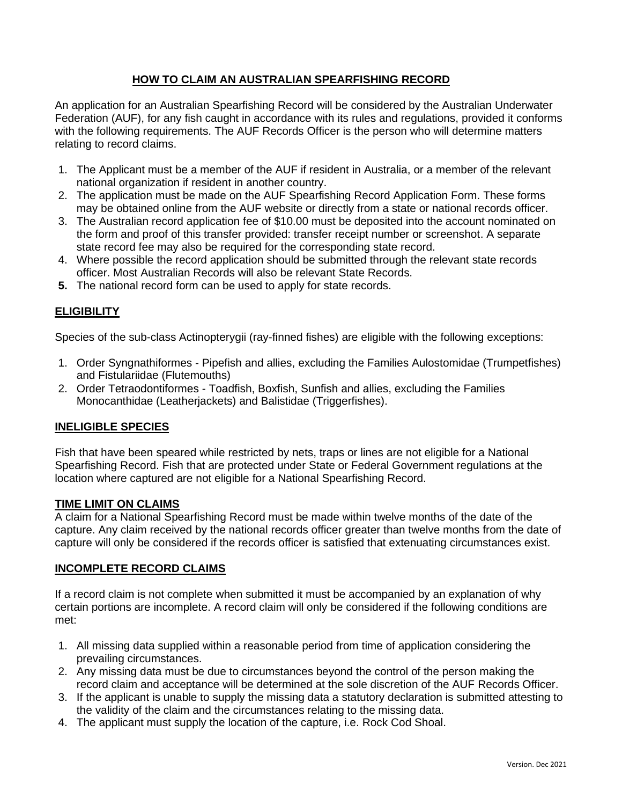# **HOW TO CLAIM AN AUSTRALIAN SPEARFISHING RECORD**

An application for an Australian Spearfishing Record will be considered by the Australian Underwater Federation (AUF), for any fish caught in accordance with its rules and regulations, provided it conforms with the following requirements. The AUF Records Officer is the person who will determine matters relating to record claims.

- 1. The Applicant must be a member of the AUF if resident in Australia, or a member of the relevant national organization if resident in another country.
- 2. The application must be made on the AUF Spearfishing Record Application Form. These forms may be obtained online from the AUF website or directly from a state or national records officer.
- 3. The Australian record application fee of \$10.00 must be deposited into the account nominated on the form and proof of this transfer provided: transfer receipt number or screenshot. A separate state record fee may also be required for the corresponding state record.
- 4. Where possible the record application should be submitted through the relevant state records officer. Most Australian Records will also be relevant State Records.
- **5.** The national record form can be used to apply for state records.

# **ELIGIBILITY**

Species of the sub-class Actinopterygii (ray-finned fishes) are eligible with the following exceptions:

- 1. Order Syngnathiformes Pipefish and allies, excluding the Families Aulostomidae (Trumpetfishes) and Fistulariidae (Flutemouths)
- 2. Order Tetraodontiformes Toadfish, Boxfish, Sunfish and allies, excluding the Families Monocanthidae (Leatherjackets) and Balistidae (Triggerfishes).

# **INELIGIBLE SPECIES**

Fish that have been speared while restricted by nets, traps or lines are not eligible for a National Spearfishing Record. Fish that are protected under State or Federal Government regulations at the location where captured are not eligible for a National Spearfishing Record.

## **TIME LIMIT ON CLAIMS**

A claim for a National Spearfishing Record must be made within twelve months of the date of the capture. Any claim received by the national records officer greater than twelve months from the date of capture will only be considered if the records officer is satisfied that extenuating circumstances exist.

## **INCOMPLETE RECORD CLAIMS**

If a record claim is not complete when submitted it must be accompanied by an explanation of why certain portions are incomplete. A record claim will only be considered if the following conditions are met:

- 1. All missing data supplied within a reasonable period from time of application considering the prevailing circumstances.
- 2. Any missing data must be due to circumstances beyond the control of the person making the record claim and acceptance will be determined at the sole discretion of the AUF Records Officer.
- 3. If the applicant is unable to supply the missing data a statutory declaration is submitted attesting to the validity of the claim and the circumstances relating to the missing data.
- 4. The applicant must supply the location of the capture, i.e. Rock Cod Shoal.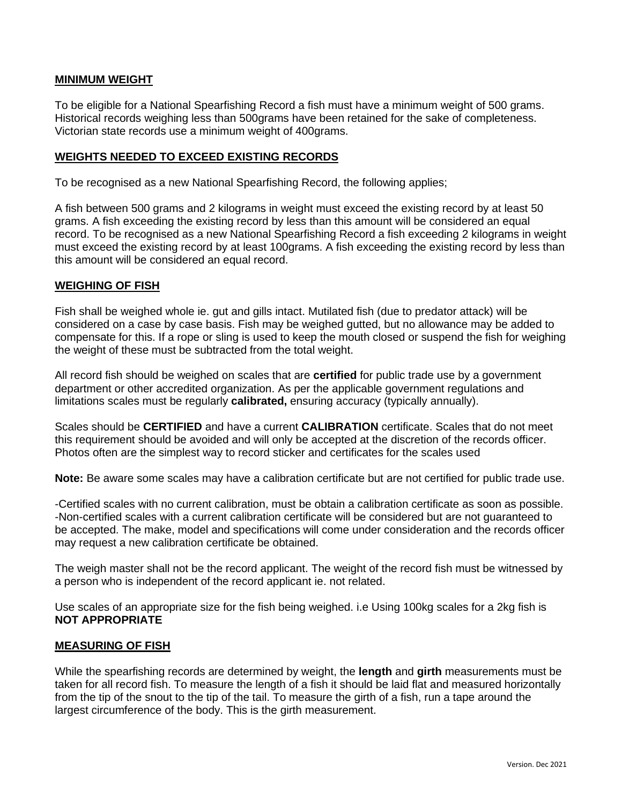## **MINIMUM WEIGHT**

To be eligible for a National Spearfishing Record a fish must have a minimum weight of 500 grams. Historical records weighing less than 500grams have been retained for the sake of completeness. Victorian state records use a minimum weight of 400grams.

## **WEIGHTS NEEDED TO EXCEED EXISTING RECORDS**

To be recognised as a new National Spearfishing Record, the following applies;

A fish between 500 grams and 2 kilograms in weight must exceed the existing record by at least 50 grams. A fish exceeding the existing record by less than this amount will be considered an equal record. To be recognised as a new National Spearfishing Record a fish exceeding 2 kilograms in weight must exceed the existing record by at least 100grams. A fish exceeding the existing record by less than this amount will be considered an equal record.

### **WEIGHING OF FISH**

Fish shall be weighed whole ie. gut and gills intact. Mutilated fish (due to predator attack) will be considered on a case by case basis. Fish may be weighed gutted, but no allowance may be added to compensate for this. If a rope or sling is used to keep the mouth closed or suspend the fish for weighing the weight of these must be subtracted from the total weight.

All record fish should be weighed on scales that are **certified** for public trade use by a government department or other accredited organization. As per the applicable government regulations and limitations scales must be regularly **calibrated,** ensuring accuracy (typically annually).

Scales should be **CERTIFIED** and have a current **CALIBRATION** certificate. Scales that do not meet this requirement should be avoided and will only be accepted at the discretion of the records officer. Photos often are the simplest way to record sticker and certificates for the scales used

**Note:** Be aware some scales may have a calibration certificate but are not certified for public trade use.

-Certified scales with no current calibration, must be obtain a calibration certificate as soon as possible. -Non-certified scales with a current calibration certificate will be considered but are not guaranteed to be accepted. The make, model and specifications will come under consideration and the records officer may request a new calibration certificate be obtained.

The weigh master shall not be the record applicant. The weight of the record fish must be witnessed by a person who is independent of the record applicant ie. not related.

Use scales of an appropriate size for the fish being weighed. i.e Using 100kg scales for a 2kg fish is **NOT APPROPRIATE**

## **MEASURING OF FISH**

While the spearfishing records are determined by weight, the **length** and **girth** measurements must be taken for all record fish. To measure the length of a fish it should be laid flat and measured horizontally from the tip of the snout to the tip of the tail. To measure the girth of a fish, run a tape around the largest circumference of the body. This is the girth measurement.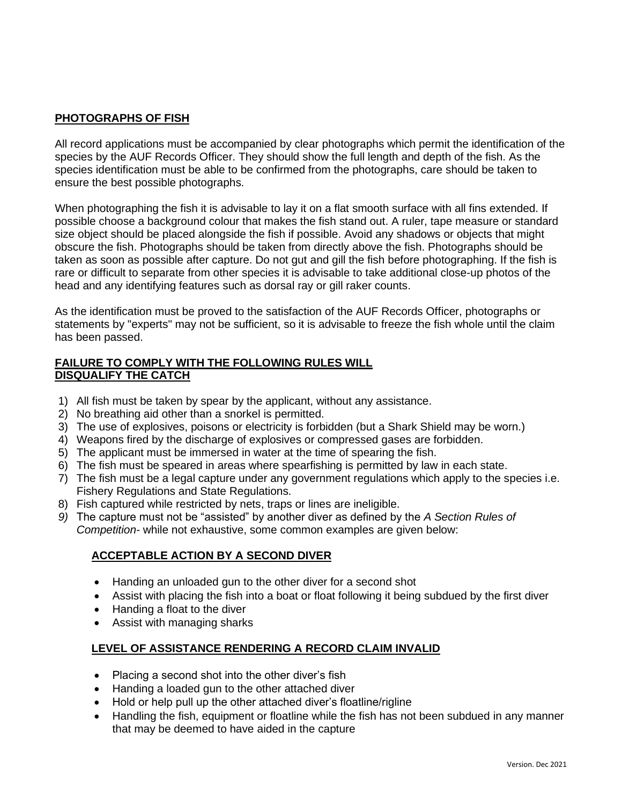# **PHOTOGRAPHS OF FISH**

All record applications must be accompanied by clear photographs which permit the identification of the species by the AUF Records Officer. They should show the full length and depth of the fish. As the species identification must be able to be confirmed from the photographs, care should be taken to ensure the best possible photographs.

When photographing the fish it is advisable to lay it on a flat smooth surface with all fins extended. If possible choose a background colour that makes the fish stand out. A ruler, tape measure or standard size object should be placed alongside the fish if possible. Avoid any shadows or objects that might obscure the fish. Photographs should be taken from directly above the fish. Photographs should be taken as soon as possible after capture. Do not gut and gill the fish before photographing. If the fish is rare or difficult to separate from other species it is advisable to take additional close-up photos of the head and any identifying features such as dorsal ray or gill raker counts.

As the identification must be proved to the satisfaction of the AUF Records Officer, photographs or statements by "experts" may not be sufficient, so it is advisable to freeze the fish whole until the claim has been passed.

## **FAILURE TO COMPLY WITH THE FOLLOWING RULES WILL DISQUALIFY THE CATCH**

- 1) All fish must be taken by spear by the applicant, without any assistance.
- 2) No breathing aid other than a snorkel is permitted.
- 3) The use of explosives, poisons or electricity is forbidden (but a Shark Shield may be worn.)
- 4) Weapons fired by the discharge of explosives or compressed gases are forbidden.
- 5) The applicant must be immersed in water at the time of spearing the fish.
- 6) The fish must be speared in areas where spearfishing is permitted by law in each state.
- 7) The fish must be a legal capture under any government regulations which apply to the species i.e. Fishery Regulations and State Regulations.
- 8) Fish captured while restricted by nets, traps or lines are ineligible.
- *9)* The capture must not be "assisted" by another diver as defined by the *A Section Rules of Competition-* while not exhaustive, some common examples are given below:

# **ACCEPTABLE ACTION BY A SECOND DIVER**

- Handing an unloaded gun to the other diver for a second shot
- Assist with placing the fish into a boat or float following it being subdued by the first diver
- Handing a float to the diver
- Assist with managing sharks

# **LEVEL OF ASSISTANCE RENDERING A RECORD CLAIM INVALID**

- Placing a second shot into the other diver's fish
- Handing a loaded gun to the other attached diver
- Hold or help pull up the other attached diver's floatline/rigline
- Handling the fish, equipment or floatline while the fish has not been subdued in any manner that may be deemed to have aided in the capture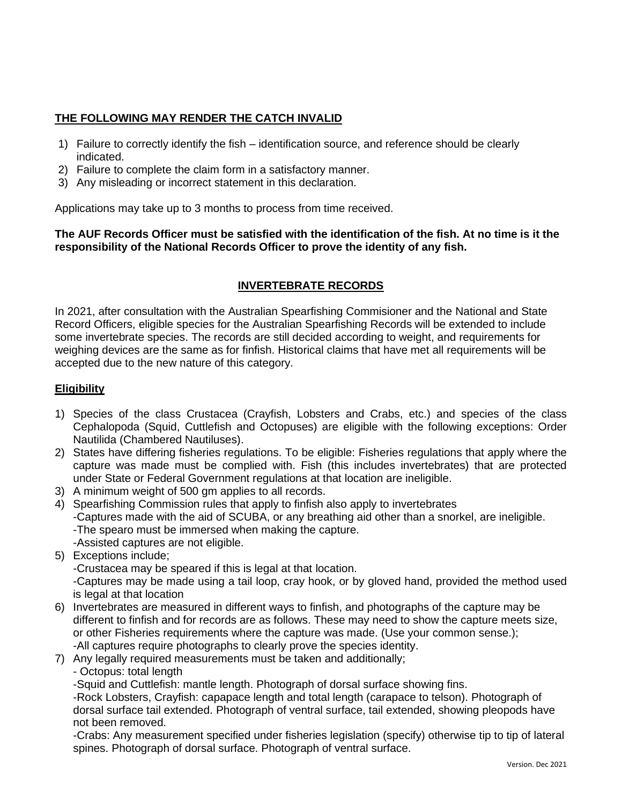# **THE FOLLOWING MAY RENDER THE CATCH INVALID**

- 1) Failure to correctly identify the fish identification source, and reference should be clearly indicated.
- 2) Failure to complete the claim form in a satisfactory manner.
- 3) Any misleading or incorrect statement in this declaration.

Applications may take up to 3 months to process from time received.

## **The AUF Records Officer must be satisfied with the identification of the fish. At no time is it the responsibility of the National Records Officer to prove the identity of any fish.**

# **INVERTEBRATE RECORDS**

In 2021, after consultation with the Australian Spearfishing Commisioner and the National and State Record Officers, eligible species for the Australian Spearfishing Records will be extended to include some invertebrate species. The records are still decided according to weight, and requirements for weighing devices are the same as for finfish. Historical claims that have met all requirements will be accepted due to the new nature of this category.

## **Eligibility**

- 1) Species of the class Crustacea (Crayfish, Lobsters and Crabs, etc.) and species of the class Cephalopoda (Squid, Cuttlefish and Octopuses) are eligible with the following exceptions: Order Nautilida (Chambered Nautiluses).
- 2) States have differing fisheries regulations. To be eligible: Fisheries regulations that apply where the capture was made must be complied with. Fish (this includes invertebrates) that are protected under State or Federal Government regulations at that location are ineligible.
- 3) A minimum weight of 500 gm applies to all records.
- 4) Spearfishing Commission rules that apply to finfish also apply to invertebrates -Captures made with the aid of SCUBA, or any breathing aid other than a snorkel, are ineligible. -The spearo must be immersed when making the capture. -Assisted captures are not eligible.
- 5) Exceptions include;
	- -Crustacea may be speared if this is legal at that location.

-Captures may be made using a tail loop, cray hook, or by gloved hand, provided the method used is legal at that location

- 6) Invertebrates are measured in different ways to finfish, and photographs of the capture may be different to finfish and for records are as follows. These may need to show the capture meets size, or other Fisheries requirements where the capture was made. (Use your common sense.); -All captures require photographs to clearly prove the species identity.
- 7) Any legally required measurements must be taken and additionally;
	- Octopus: total length

-Squid and Cuttlefish: mantle length. Photograph of dorsal surface showing fins.

-Rock Lobsters, Crayfish: capapace length and total length (carapace to telson). Photograph of dorsal surface tail extended. Photograph of ventral surface, tail extended, showing pleopods have not been removed.

-Crabs: Any measurement specified under fisheries legislation (specify) otherwise tip to tip of lateral spines. Photograph of dorsal surface. Photograph of ventral surface.